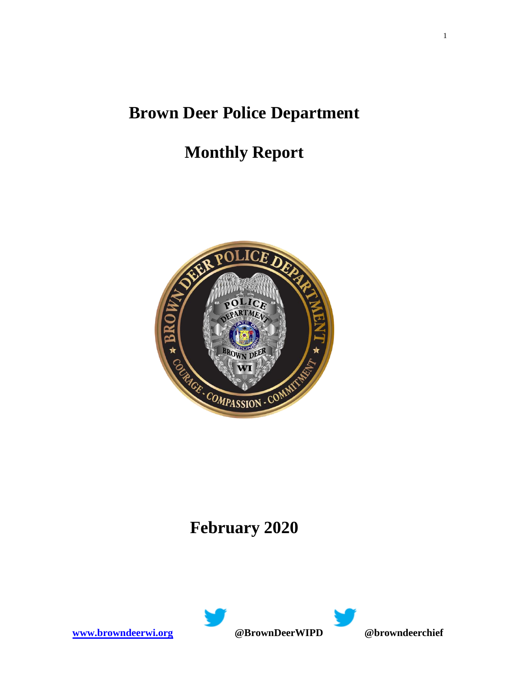## **Brown Deer Police Department**

# **Monthly Report**



## **February 2020**

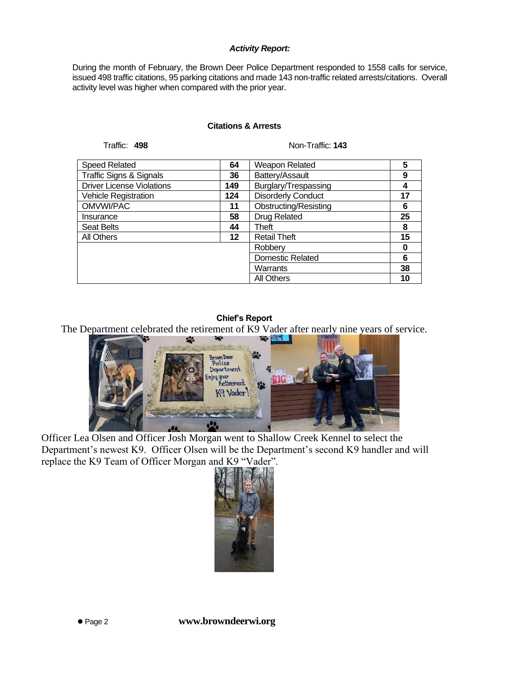#### *Activity Report:*

During the month of February, the Brown Deer Police Department responded to 1558 calls for service, issued 498 traffic citations, 95 parking citations and made 143 non-traffic related arrests/citations. Overall activity level was higher when compared with the prior year.

#### **Citations & Arrests**

Traffic: 498 Non-Traffic: 143

| <b>Speed Related</b>               | 64  | Weapon Related            | 5  |
|------------------------------------|-----|---------------------------|----|
| <b>Traffic Signs &amp; Signals</b> | 36  | Battery/Assault           | 9  |
| <b>Driver License Violations</b>   | 149 | Burglary/Trespassing      | 4  |
| Vehicle Registration               | 124 | <b>Disorderly Conduct</b> | 17 |
| OMVWI/PAC                          | 11  | Obstructing/Resisting     | 6  |
| Insurance                          | 58  | <b>Drug Related</b>       | 25 |
| <b>Seat Belts</b>                  | 44  | Theft                     | 8  |
| All Others                         | 12  | <b>Retail Theft</b>       | 15 |
|                                    |     | Robberv                   | 0  |
|                                    |     | <b>Domestic Related</b>   | 6  |
|                                    |     | Warrants                  | 38 |
|                                    |     | All Others                | 10 |

#### **Chief's Report**

The Department celebrated the retirement of K9 Vader after nearly nine years of service.



Officer Lea Olsen and Officer Josh Morgan went to Shallow Creek Kennel to select the Department's newest K9. Officer Olsen will be the Department's second K9 handler and will replace the K9 Team of Officer Morgan and K9 "Vader".

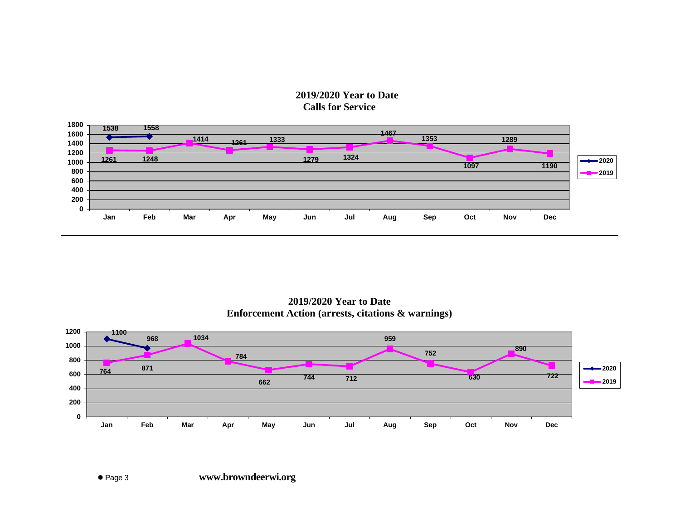### **2019/2020 Year to Date Calls for Service**



**2019/2020 Year to Date Enforcement Action (arrests, citations & warnings)**



⚫ Page 3 **www.browndeerwi.org**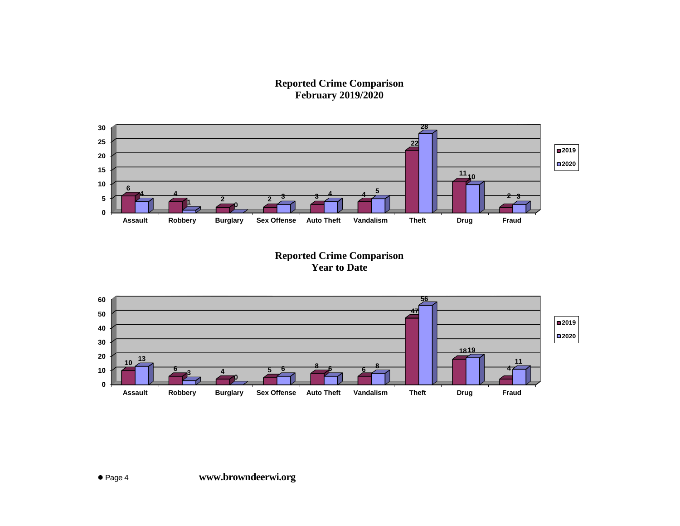**Reported Crime Comparison February 2019/2020**



**Reported Crime Comparison Year to Date**

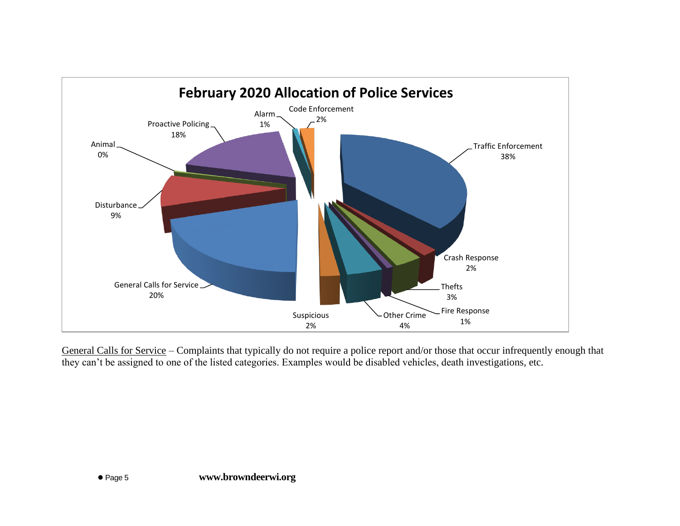

General Calls for Service – Complaints that typically do not require a police report and/or those that occur infrequently enough that they can't be assigned to one of the listed categories. Examples would be disabled vehicles, death investigations, etc.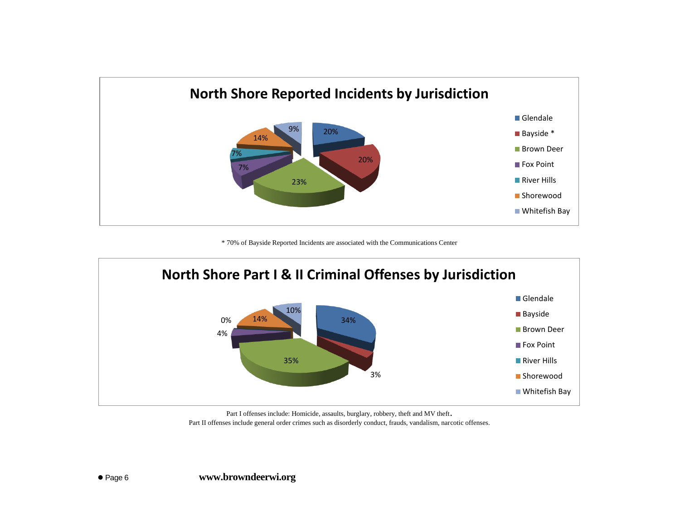

\* 70% of Bayside Reported Incidents are associated with the Communications Center



Part I offenses include: Homicide, assaults, burglary, robbery, theft and MV theft. Part II offenses include general order crimes such as disorderly conduct, frauds, vandalism, narcotic offenses.